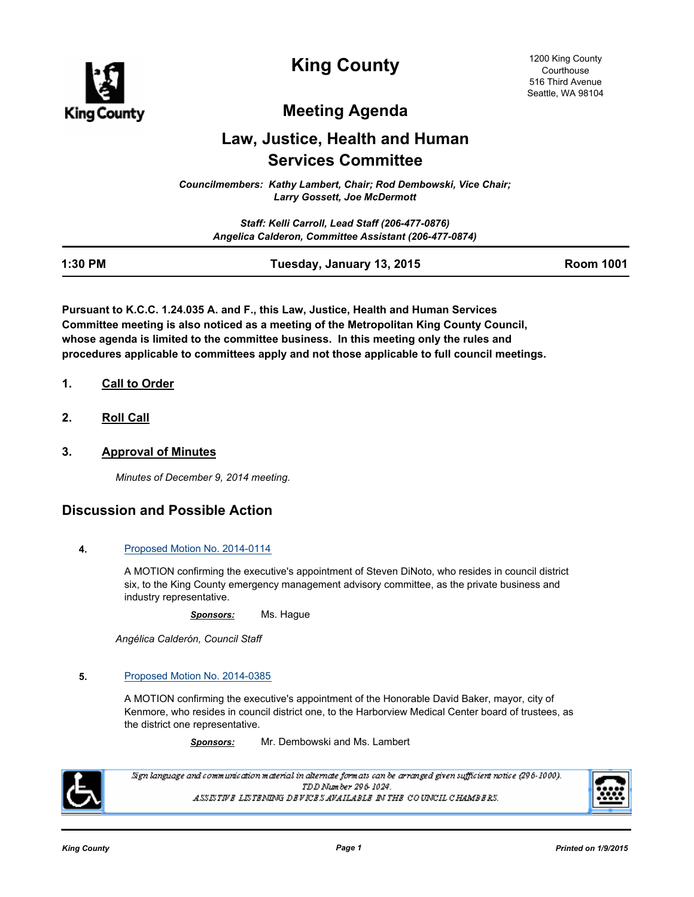

**King County**

# **Meeting Agenda**

# **Law, Justice, Health and Human Services Committee**

*Councilmembers: Kathy Lambert, Chair; Rod Dembowski, Vice Chair; Larry Gossett, Joe McDermott*

> *Staff: Kelli Carroll, Lead Staff (206-477-0876) Angelica Calderon, Committee Assistant (206-477-0874)*

| 1:30 PM |                           | <b>Room 1001</b> |
|---------|---------------------------|------------------|
|         | Tuesday, January 13, 2015 |                  |

**Pursuant to K.C.C. 1.24.035 A. and F., this Law, Justice, Health and Human Services Committee meeting is also noticed as a meeting of the Metropolitan King County Council, whose agenda is limited to the committee business. In this meeting only the rules and procedures applicable to committees apply and not those applicable to full council meetings.**

- **1. Call to Order**
- **2. Roll Call**
- **3. Approval of Minutes**

*Minutes of December 9, 2014 meeting.*

# **Discussion and Possible Action**

## **4.** [Proposed Motion No. 2014-0114](http://kingcounty.legistar.com/gateway.aspx?m=l&id=/matter.aspx?key=14854)

A MOTION confirming the executive's appointment of Steven DiNoto, who resides in council district six, to the King County emergency management advisory committee, as the private business and industry representative.

*Sponsors:* Ms. Hague

*Angélica Calderón, Council Staff*

## **5.** [Proposed Motion No. 2014-0385](http://kingcounty.legistar.com/gateway.aspx?m=l&id=/matter.aspx?key=15409)

A MOTION confirming the executive's appointment of the Honorable David Baker, mayor, city of Kenmore, who resides in council district one, to the Harborview Medical Center board of trustees, as the district one representative.

*Sponsors:* Mr. Dembowski and Ms. Lambert



Sign language and communication material in alternate formats can be arranged given sufficient notice (296-1000). TDD Number 296-1024. ASSISTIVE LISTENING DEVICES AVAILABLE IN THE COUNCIL CHAMBERS.

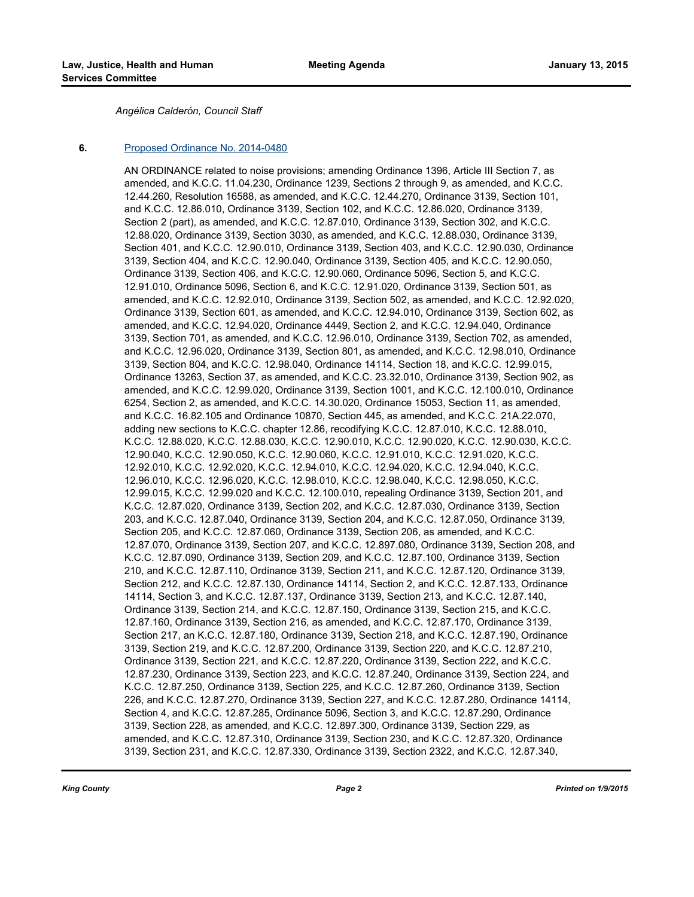*Angélica Calderón, Council Staff*

#### **6.** [Proposed Ordinance No. 2014-0480](http://kingcounty.legistar.com/gateway.aspx?m=l&id=/matter.aspx?key=15600)

AN ORDINANCE related to noise provisions; amending Ordinance 1396, Article III Section 7, as amended, and K.C.C. 11.04.230, Ordinance 1239, Sections 2 through 9, as amended, and K.C.C. 12.44.260, Resolution 16588, as amended, and K.C.C. 12.44.270, Ordinance 3139, Section 101, and K.C.C. 12.86.010, Ordinance 3139, Section 102, and K.C.C. 12.86.020, Ordinance 3139, Section 2 (part), as amended, and K.C.C. 12.87.010, Ordinance 3139, Section 302, and K.C.C. 12.88.020, Ordinance 3139, Section 3030, as amended, and K.C.C. 12.88.030, Ordinance 3139, Section 401, and K.C.C. 12.90.010, Ordinance 3139, Section 403, and K.C.C. 12.90.030, Ordinance 3139, Section 404, and K.C.C. 12.90.040, Ordinance 3139, Section 405, and K.C.C. 12.90.050, Ordinance 3139, Section 406, and K.C.C. 12.90.060, Ordinance 5096, Section 5, and K.C.C. 12.91.010, Ordinance 5096, Section 6, and K.C.C. 12.91.020, Ordinance 3139, Section 501, as amended, and K.C.C. 12.92.010, Ordinance 3139, Section 502, as amended, and K.C.C. 12.92.020, Ordinance 3139, Section 601, as amended, and K.C.C. 12.94.010, Ordinance 3139, Section 602, as amended, and K.C.C. 12.94.020, Ordinance 4449, Section 2, and K.C.C. 12.94.040, Ordinance 3139, Section 701, as amended, and K.C.C. 12.96.010, Ordinance 3139, Section 702, as amended, and K.C.C. 12.96.020, Ordinance 3139, Section 801, as amended, and K.C.C. 12.98.010, Ordinance 3139, Section 804, and K.C.C. 12.98.040, Ordinance 14114, Section 18, and K.C.C. 12.99.015, Ordinance 13263, Section 37, as amended, and K.C.C. 23.32.010, Ordinance 3139, Section 902, as amended, and K.C.C. 12.99.020, Ordinance 3139, Section 1001, and K.C.C. 12.100.010, Ordinance 6254, Section 2, as amended, and K.C.C. 14.30.020, Ordinance 15053, Section 11, as amended, and K.C.C. 16.82.105 and Ordinance 10870, Section 445, as amended, and K.C.C. 21A.22.070, adding new sections to K.C.C. chapter 12.86, recodifying K.C.C. 12.87.010, K.C.C. 12.88.010, K.C.C. 12.88.020, K.C.C. 12.88.030, K.C.C. 12.90.010, K.C.C. 12.90.020, K.C.C. 12.90.030, K.C.C. 12.90.040, K.C.C. 12.90.050, K.C.C. 12.90.060, K.C.C. 12.91.010, K.C.C. 12.91.020, K.C.C. 12.92.010, K.C.C. 12.92.020, K.C.C. 12.94.010, K.C.C. 12.94.020, K.C.C. 12.94.040, K.C.C. 12.96.010, K.C.C. 12.96.020, K.C.C. 12.98.010, K.C.C. 12.98.040, K.C.C. 12.98.050, K.C.C. 12.99.015, K.C.C. 12.99.020 and K.C.C. 12.100.010, repealing Ordinance 3139, Section 201, and K.C.C. 12.87.020, Ordinance 3139, Section 202, and K.C.C. 12.87.030, Ordinance 3139, Section 203, and K.C.C. 12.87.040, Ordinance 3139, Section 204, and K.C.C. 12.87.050, Ordinance 3139, Section 205, and K.C.C. 12.87.060, Ordinance 3139, Section 206, as amended, and K.C.C. 12.87.070, Ordinance 3139, Section 207, and K.C.C. 12.897.080, Ordinance 3139, Section 208, and K.C.C. 12.87.090, Ordinance 3139, Section 209, and K.C.C. 12.87.100, Ordinance 3139, Section 210, and K.C.C. 12.87.110, Ordinance 3139, Section 211, and K.C.C. 12.87.120, Ordinance 3139, Section 212, and K.C.C. 12.87.130, Ordinance 14114, Section 2, and K.C.C. 12.87.133, Ordinance 14114, Section 3, and K.C.C. 12.87.137, Ordinance 3139, Section 213, and K.C.C. 12.87.140, Ordinance 3139, Section 214, and K.C.C. 12.87.150, Ordinance 3139, Section 215, and K.C.C. 12.87.160, Ordinance 3139, Section 216, as amended, and K.C.C. 12.87.170, Ordinance 3139, Section 217, an K.C.C. 12.87.180, Ordinance 3139, Section 218, and K.C.C. 12.87.190, Ordinance 3139, Section 219, and K.C.C. 12.87.200, Ordinance 3139, Section 220, and K.C.C. 12.87.210, Ordinance 3139, Section 221, and K.C.C. 12.87.220, Ordinance 3139, Section 222, and K.C.C. 12.87.230, Ordinance 3139, Section 223, and K.C.C. 12.87.240, Ordinance 3139, Section 224, and K.C.C. 12.87.250, Ordinance 3139, Section 225, and K.C.C. 12.87.260, Ordinance 3139, Section 226, and K.C.C. 12.87.270, Ordinance 3139, Section 227, and K.C.C. 12.87.280, Ordinance 14114, Section 4, and K.C.C. 12.87.285, Ordinance 5096, Section 3, and K.C.C. 12.87.290, Ordinance 3139, Section 228, as amended, and K.C.C. 12.897.300, Ordinance 3139, Section 229, as amended, and K.C.C. 12.87.310, Ordinance 3139, Section 230, and K.C.C. 12.87.320, Ordinance 3139, Section 231, and K.C.C. 12.87.330, Ordinance 3139, Section 2322, and K.C.C. 12.87.340,